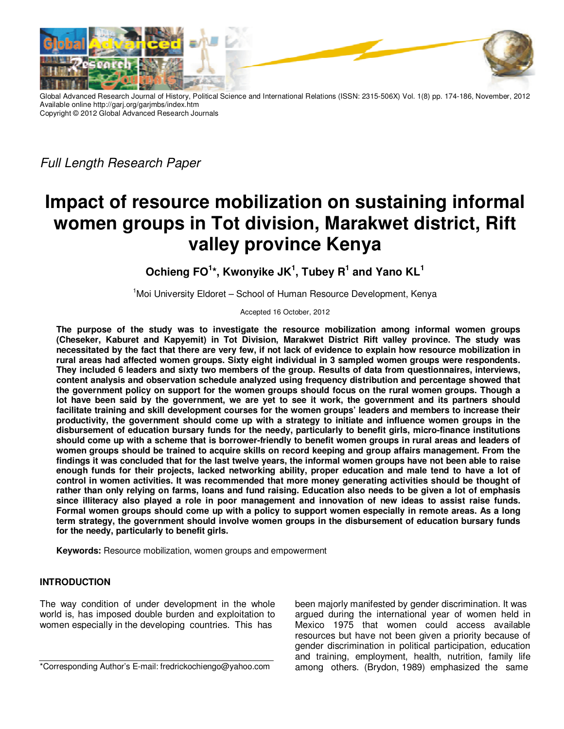

Global Advanced Research Journal of History, Political Science and International Relations (ISSN: 2315-506X) Vol. 1(8) pp. 174-186, November, 2012 Available online http://garj.org/garjmbs/index.htm Copyright © 2012 Global Advanced Research Journals

*Full Length Research Paper* 

# **Impact of resource mobilization on sustaining informal women groups in Tot division, Marakwet district, Rift valley province Kenya**

**Ochieng FO<sup>1</sup> \*, Kwonyike JK<sup>1</sup> , Tubey R<sup>1</sup> and Yano KL<sup>1</sup>**

<sup>1</sup>Moi University Eldoret – School of Human Resource Development, Kenya

Accepted 16 October, 2012

**The purpose of the study was to investigate the resource mobilization among informal women groups (Cheseker, Kaburet and Kapyemit) in Tot Division, Marakwet District Rift valley province. The study was necessitated by the fact that there are very few, if not lack of evidence to explain how resource mobilization in rural areas had affected women groups. Sixty eight individual in 3 sampled women groups were respondents. They included 6 leaders and sixty two members of the group. Results of data from questionnaires, interviews, content analysis and observation schedule analyzed using frequency distribution and percentage showed that the government policy on support for the women groups should focus on the rural women groups. Though a lot have been said by the government, we are yet to see it work, the government and its partners should facilitate training and skill development courses for the women groups' leaders and members to increase their productivity, the government should come up with a strategy to initiate and influence women groups in the disbursement of education bursary funds for the needy, particularly to benefit girls, micro-finance institutions should come up with a scheme that is borrower-friendly to benefit women groups in rural areas and leaders of women groups should be trained to acquire skills on record keeping and group affairs management. From the findings it was concluded that for the last twelve years, the informal women groups have not been able to raise enough funds for their projects, lacked networking ability, proper education and male tend to have a lot of control in women activities. It was recommended that more money generating activities should be thought of rather than only relying on farms, loans and fund raising. Education also needs to be given a lot of emphasis since illiteracy also played a role in poor management and innovation of new ideas to assist raise funds. Formal women groups should come up with a policy to support women especially in remote areas. As a long term strategy, the government should involve women groups in the disbursement of education bursary funds for the needy, particularly to benefit girls.** 

**Keywords:** Resource mobilization, women groups and empowerment

# **INTRODUCTION**

The way condition of under development in the whole world is, has imposed double burden and exploitation to women especially in the developing countries. This has

\*Corresponding Author's E-mail: fredrickochiengo@yahoo.com

been majorly manifested by gender discrimination. It was argued during the international year of women held in Mexico 1975 that women could access available resources but have not been given a priority because of gender discrimination in political participation, education and training, employment, health, nutrition, family life among others. (Brydon, 1989) emphasized the same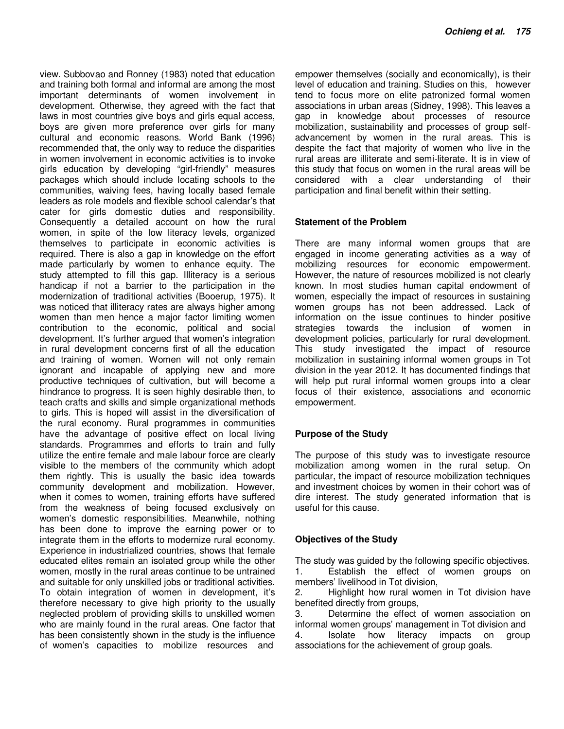view. Subbovao and Ronney (1983) noted that education and training both formal and informal are among the most important determinants of women involvement in development. Otherwise, they agreed with the fact that laws in most countries give boys and girls equal access, boys are given more preference over girls for many cultural and economic reasons. World Bank (1996) recommended that, the only way to reduce the disparities in women involvement in economic activities is to invoke girls education by developing "girl-friendly" measures packages which should include locating schools to the communities, waiving fees, having locally based female leaders as role models and flexible school calendar's that cater for girls domestic duties and responsibility. Consequently a detailed account on how the rural women, in spite of the low literacy levels, organized themselves to participate in economic activities is required. There is also a gap in knowledge on the effort made particularly by women to enhance equity. The study attempted to fill this gap. Illiteracy is a serious handicap if not a barrier to the participation in the modernization of traditional activities (Booerup, 1975). It was noticed that illiteracy rates are always higher among women than men hence a major factor limiting women contribution to the economic, political and social development. It's further argued that women's integration in rural development concerns first of all the education and training of women. Women will not only remain ignorant and incapable of applying new and more productive techniques of cultivation, but will become a hindrance to progress. It is seen highly desirable then, to teach crafts and skills and simple organizational methods to girls. This is hoped will assist in the diversification of the rural economy. Rural programmes in communities have the advantage of positive effect on local living standards. Programmes and efforts to train and fully utilize the entire female and male labour force are clearly visible to the members of the community which adopt them rightly. This is usually the basic idea towards community development and mobilization. However, when it comes to women, training efforts have suffered from the weakness of being focused exclusively on women's domestic responsibilities. Meanwhile, nothing has been done to improve the earning power or to integrate them in the efforts to modernize rural economy. Experience in industrialized countries, shows that female educated elites remain an isolated group while the other women, mostly in the rural areas continue to be untrained and suitable for only unskilled jobs or traditional activities. To obtain integration of women in development, it's therefore necessary to give high priority to the usually neglected problem of providing skills to unskilled women who are mainly found in the rural areas. One factor that has been consistently shown in the study is the influence of women's capacities to mobilize resources and

empower themselves (socially and economically), is their level of education and training. Studies on this, however tend to focus more on elite patronized formal women associations in urban areas (Sidney, 1998). This leaves a gap in knowledge about processes of resource mobilization, sustainability and processes of group selfadvancement by women in the rural areas. This is despite the fact that majority of women who live in the rural areas are illiterate and semi-literate. It is in view of this study that focus on women in the rural areas will be considered with a clear understanding of their participation and final benefit within their setting.

## **Statement of the Problem**

There are many informal women groups that are engaged in income generating activities as a way of mobilizing resources for economic empowerment. However, the nature of resources mobilized is not clearly known. In most studies human capital endowment of women, especially the impact of resources in sustaining women groups has not been addressed. Lack of information on the issue continues to hinder positive strategies towards the inclusion of women in development policies, particularly for rural development. This study investigated the impact of resource mobilization in sustaining informal women groups in Tot division in the year 2012. It has documented findings that will help put rural informal women groups into a clear focus of their existence, associations and economic empowerment.

## **Purpose of the Study**

The purpose of this study was to investigate resource mobilization among women in the rural setup. On particular, the impact of resource mobilization techniques and investment choices by women in their cohort was of dire interest. The study generated information that is useful for this cause.

## **Objectives of the Study**

The study was guided by the following specific objectives. 1. Establish the effect of women groups on members' livelihood in Tot division,

2. Highlight how rural women in Tot division have benefited directly from groups,

3. Determine the effect of women association on informal women groups' management in Tot division and 4. Isolate how literacy impacts on group associations for the achievement of group goals.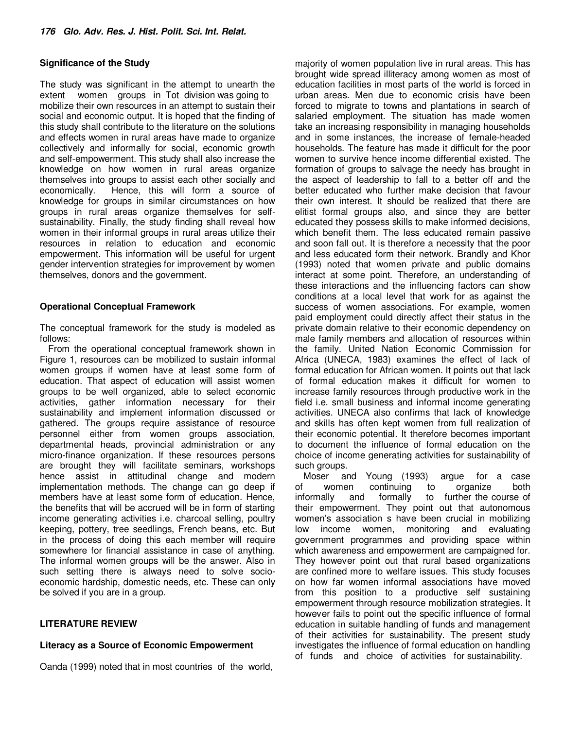## **Significance of the Study**

The study was significant in the attempt to unearth the extent women groups in Tot division was going to mobilize their own resources in an attempt to sustain their social and economic output. It is hoped that the finding of this study shall contribute to the literature on the solutions and effects women in rural areas have made to organize collectively and informally for social, economic growth and self-empowerment. This study shall also increase the knowledge on how women in rural areas organize themselves into groups to assist each other socially and economically. Hence, this will form a source of knowledge for groups in similar circumstances on how groups in rural areas organize themselves for selfsustainability. Finally, the study finding shall reveal how women in their informal groups in rural areas utilize their resources in relation to education and economic empowerment. This information will be useful for urgent gender intervention strategies for improvement by women themselves, donors and the government.

## **Operational Conceptual Framework**

The conceptual framework for the study is modeled as follows:

From the operational conceptual framework shown in Figure 1, resources can be mobilized to sustain informal women groups if women have at least some form of education. That aspect of education will assist women groups to be well organized, able to select economic activities, gather information necessary for their sustainability and implement information discussed or gathered. The groups require assistance of resource personnel either from women groups association, departmental heads, provincial administration or any micro-finance organization. If these resources persons are brought they will facilitate seminars, workshops hence assist in attitudinal change and modern implementation methods. The change can go deep if members have at least some form of education. Hence, the benefits that will be accrued will be in form of starting income generating activities i.e. charcoal selling, poultry keeping, pottery, tree seedlings, French beans, etc. But in the process of doing this each member will require somewhere for financial assistance in case of anything. The informal women groups will be the answer. Also in such setting there is always need to solve socioeconomic hardship, domestic needs, etc. These can only be solved if you are in a group.

# **LITERATURE REVIEW**

## **Literacy as a Source of Economic Empowerment**

Oanda (1999) noted that in most countries of the world,

majority of women population live in rural areas. This has brought wide spread illiteracy among women as most of education facilities in most parts of the world is forced in urban areas. Men due to economic crisis have been forced to migrate to towns and plantations in search of salaried employment. The situation has made women take an increasing responsibility in managing households and in some instances, the increase of female-headed households. The feature has made it difficult for the poor women to survive hence income differential existed. The formation of groups to salvage the needy has brought in the aspect of leadership to fall to a better off and the better educated who further make decision that favour their own interest. It should be realized that there are elitist formal groups also, and since they are better educated they possess skills to make informed decisions, which benefit them. The less educated remain passive and soon fall out. It is therefore a necessity that the poor and less educated form their network. Brandly and Khor (1993) noted that women private and public domains interact at some point. Therefore, an understanding of these interactions and the influencing factors can show conditions at a local level that work for as against the success of women associations. For example, women paid employment could directly affect their status in the private domain relative to their economic dependency on male family members and allocation of resources within the family. United Nation Economic Commission for Africa (UNECA, 1983) examines the effect of lack of formal education for African women. It points out that lack of formal education makes it difficult for women to increase family resources through productive work in the field i.e. small business and informal income generating activities. UNECA also confirms that lack of knowledge and skills has often kept women from full realization of their economic potential. It therefore becomes important to document the influence of formal education on the choice of income generating activities for sustainability of such groups.

Moser and Young (1993) argue for a case of women continuing to organize both informally and formally to further the course of their empowerment. They point out that autonomous women's association s have been crucial in mobilizing low income women, monitoring and evaluating government programmes and providing space within which awareness and empowerment are campaigned for. They however point out that rural based organizations are confined more to welfare issues. This study focuses on how far women informal associations have moved from this position to a productive self sustaining empowerment through resource mobilization strategies. It however fails to point out the specific influence of formal education in suitable handling of funds and management of their activities for sustainability. The present study investigates the influence of formal education on handling of funds and choice of activities for sustainability.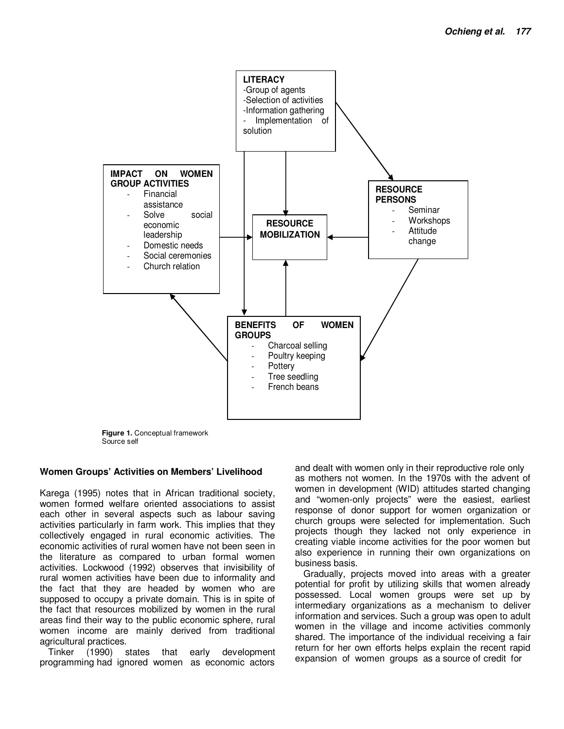

**Figure 1.** Conceptual framework Source self

## **Women Groups' Activities on Members' Livelihood**

Karega (1995) notes that in African traditional society, women formed welfare oriented associations to assist each other in several aspects such as labour saving activities particularly in farm work. This implies that they collectively engaged in rural economic activities. The economic activities of rural women have not been seen in the literature as compared to urban formal women activities. Lockwood (1992) observes that invisibility of rural women activities have been due to informality and the fact that they are headed by women who are supposed to occupy a private domain. This is in spite of the fact that resources mobilized by women in the rural areas find their way to the public economic sphere, rural women income are mainly derived from traditional agricultural practices.

Tinker (1990) states that early development programming had ignored women as economic actors

and dealt with women only in their reproductive role only as mothers not women. In the 1970s with the advent of women in development (WID) attitudes started changing and "women-only projects" were the easiest, earliest response of donor support for women organization or church groups were selected for implementation. Such projects though they lacked not only experience in creating viable income activities for the poor women but also experience in running their own organizations on business basis.

Gradually, projects moved into areas with a greater potential for profit by utilizing skills that women already possessed. Local women groups were set up by intermediary organizations as a mechanism to deliver information and services. Such a group was open to adult women in the village and income activities commonly shared. The importance of the individual receiving a fair return for her own efforts helps explain the recent rapid expansion of women groups as a source of credit for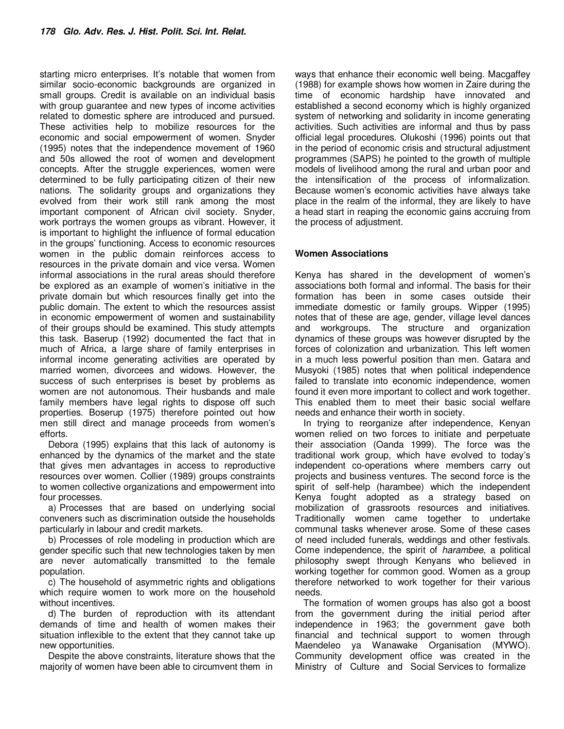starting micro enterprises. It's notable that women from similar socio-economic backgrounds are organized in small groups. Credit is available on an individual basis with group guarantee and new types of income activities related to domestic sphere are introduced and pursued. These activities help to mobilize resources for the economic and social empowerment of women. Snyder (1995) notes that the independence movement of 1960 and 50s allowed the root of women and development concepts. After the struggle experiences, women were determined to be fully participating citizen of their new nations. The solidarity groups and organizations they evolved from their work still rank among the most important component of African civil society. Snyder, work portrays the women groups as vibrant. However, it is important to highlight the influence of formal education in the groups' functioning. Access to economic resources women in the public domain reinforces access to resources in the private domain and vice versa. Women informal associations in the rural areas should therefore be explored as an example of women's initiative in the private domain but which resources finally get into the public domain. The extent to which the resources assist in economic empowerment of women and sustainability of their groups should be examined. This study attempts this task. Baserup (1992) documented the fact that in much of Africa, a large share of family enterprises in informal income generating activities are operated by married women, divorcees and widows. However, the success of such enterprises is beset by problems as women are not autonomous. Their husbands and male family members have legal rights to dispose off such properties. Boserup (1975) therefore pointed out how men still direct and manage proceeds from women's efforts.

Debora (1995) explains that this lack of autonomy is enhanced by the dynamics of the market and the state that gives men advantages in access to reproductive resources over women. Collier (1989) groups constraints to women collective organizations and empowerment into four processes.

a) Processes that are based on underlying social conveners such as discrimination outside the households particularly in labour and credit markets.

b) Processes of role modeling in production which are gender specific such that new technologies taken by men are never automatically transmitted to the female population.

c) The household of asymmetric rights and obligations which require women to work more on the household without incentives.

d) The burden of reproduction with its attendant demands of time and health of women makes their situation inflexible to the extent that they cannot take up new opportunities.

Despite the above constraints, literature shows that the majority of women have been able to circumvent them in

ways that enhance their economic well being. Macgaffey (1988) for example shows how women in Zaire during the time of economic hardship have innovated and established a second economy which is highly organized system of networking and solidarity in income generating activities. Such activities are informal and thus by pass official legal procedures. Olukoshi (1996) points out that in the period of economic crisis and structural adjustment programmes (SAPS) he pointed to the growth of multiple models of livelihood among the rural and urban poor and the intensification of the process of informalization. Because women's economic activities have always take place in the realm of the informal, they are likely to have a head start in reaping the economic gains accruing from the process of adjustment.

# **Women Associations**

Kenya has shared in the development of women's associations both formal and informal. The basis for their formation has been in some cases outside their immediate domestic or family groups. Wipper (1995) notes that of these are age, gender, village level dances and workgroups. The structure and organization dynamics of these groups was however disrupted by the forces of colonization and urbanization. This left women in a much less powerful position than men. Gatara and Musyoki (1985) notes that when political independence failed to translate into economic independence, women found it even more important to collect and work together. This enabled them to meet their basic social welfare needs and enhance their worth in society.

In trying to reorganize after independence, Kenyan women relied on two forces to initiate and perpetuate their association (Oanda 1999). The force was the traditional work group, which have evolved to today's independent co-operations where members carry out projects and business ventures. The second force is the spirit of self-help (harambee) which the independent Kenya fought adopted as a strategy based on mobilization of grassroots resources and initiatives. Traditionally women came together to undertake communal tasks whenever arose. Some of these cases of need included funerals, weddings and other festivals. Come independence, the spirit of *harambee*, a political philosophy swept through Kenyans who believed in working together for common good. Women as a group therefore networked to work together for their various needs.

The formation of women groups has also got a boost from the government during the initial period after independence in 1963; the government gave both financial and technical support to women through Maendeleo ya Wanawake Organisation (MYWO). Community development office was created in the Ministry of Culture and Social Services to formalize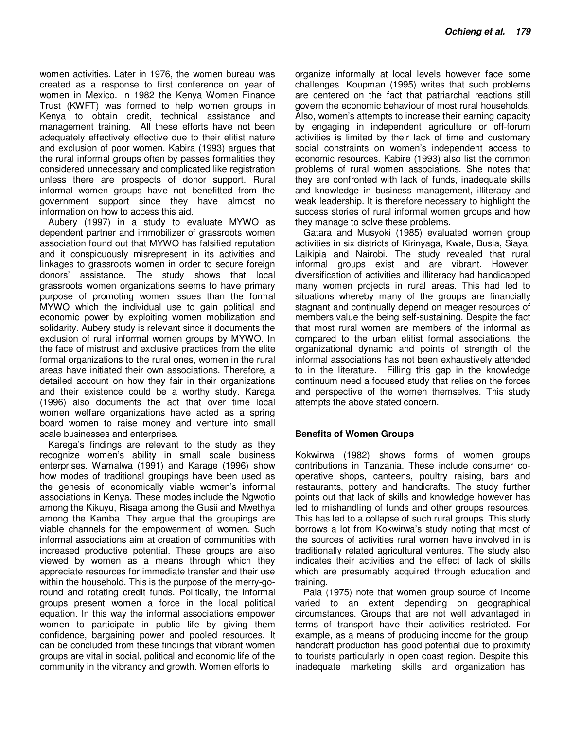women activities. Later in 1976, the women bureau was created as a response to first conference on year of women in Mexico. In 1982 the Kenya Women Finance Trust (KWFT) was formed to help women groups in Kenya to obtain credit, technical assistance and management training. All these efforts have not been adequately effectively effective due to their elitist nature and exclusion of poor women. Kabira (1993) argues that the rural informal groups often by passes formalities they considered unnecessary and complicated like registration unless there are prospects of donor support. Rural informal women groups have not benefitted from the government support since they have almost no information on how to access this aid.

Aubery (1997) in a study to evaluate MYWO as dependent partner and immobilizer of grassroots women association found out that MYWO has falsified reputation and it conspicuously misrepresent in its activities and linkages to grassroots women in order to secure foreign donors' assistance. The study shows that local grassroots women organizations seems to have primary purpose of promoting women issues than the formal MYWO which the individual use to gain political and economic power by exploiting women mobilization and solidarity. Aubery study is relevant since it documents the exclusion of rural informal women groups by MYWO. In the face of mistrust and exclusive practices from the elite formal organizations to the rural ones, women in the rural areas have initiated their own associations. Therefore, a detailed account on how they fair in their organizations and their existence could be a worthy study. Karega (1996) also documents the act that over time local women welfare organizations have acted as a spring board women to raise money and venture into small scale businesses and enterprises.

Karega's findings are relevant to the study as they recognize women's ability in small scale business enterprises. Wamalwa (1991) and Karage (1996) show how modes of traditional groupings have been used as the genesis of economically viable women's informal associations in Kenya. These modes include the Ngwotio among the Kikuyu, Risaga among the Gusii and Mwethya among the Kamba. They argue that the groupings are viable channels for the empowerment of women. Such informal associations aim at creation of communities with increased productive potential. These groups are also viewed by women as a means through which they appreciate resources for immediate transfer and their use within the household. This is the purpose of the merry-goround and rotating credit funds. Politically, the informal groups present women a force in the local political equation. In this way the informal associations empower women to participate in public life by giving them confidence, bargaining power and pooled resources. It can be concluded from these findings that vibrant women groups are vital in social, political and economic life of the community in the vibrancy and growth. Women efforts to

organize informally at local levels however face some challenges. Koupman (1995) writes that such problems are centered on the fact that patriarchal reactions still govern the economic behaviour of most rural households. Also, women's attempts to increase their earning capacity by engaging in independent agriculture or off-forum activities is limited by their lack of time and customary social constraints on women's independent access to economic resources. Kabire (1993) also list the common problems of rural women associations. She notes that they are confronted with lack of funds, inadequate skills and knowledge in business management, illiteracy and weak leadership. It is therefore necessary to highlight the success stories of rural informal women groups and how they manage to solve these problems.

Gatara and Musyoki (1985) evaluated women group activities in six districts of Kirinyaga, Kwale, Busia, Siaya, Laikipia and Nairobi. The study revealed that rural informal groups exist and are vibrant. However, diversification of activities and illiteracy had handicapped many women projects in rural areas. This had led to situations whereby many of the groups are financially stagnant and continually depend on meager resources of members value the being self-sustaining. Despite the fact that most rural women are members of the informal as compared to the urban elitist formal associations, the organizational dynamic and points of strength of the informal associations has not been exhaustively attended to in the literature. Filling this gap in the knowledge continuum need a focused study that relies on the forces and perspective of the women themselves. This study attempts the above stated concern.

## **Benefits of Women Groups**

Kokwirwa (1982) shows forms of women groups contributions in Tanzania. These include consumer cooperative shops, canteens, poultry raising, bars and restaurants, pottery and handicrafts. The study further points out that lack of skills and knowledge however has led to mishandling of funds and other groups resources. This has led to a collapse of such rural groups. This study borrows a lot from Kokwirwa's study noting that most of the sources of activities rural women have involved in is traditionally related agricultural ventures. The study also indicates their activities and the effect of lack of skills which are presumably acquired through education and training.

Pala (1975) note that women group source of income varied to an extent depending on geographical circumstances. Groups that are not well advantaged in terms of transport have their activities restricted. For example, as a means of producing income for the group, handcraft production has good potential due to proximity to tourists particularly in open coast region. Despite this, inadequate marketing skills and organization has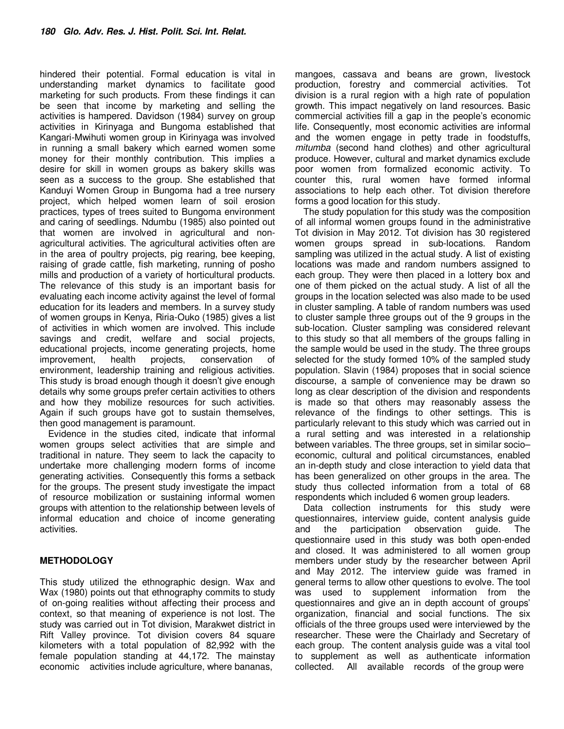hindered their potential. Formal education is vital in understanding market dynamics to facilitate good marketing for such products. From these findings it can be seen that income by marketing and selling the activities is hampered. Davidson (1984) survey on group activities in Kirinyaga and Bungoma established that Kangari-Mwihuti women group in Kirinyaga was involved in running a small bakery which earned women some money for their monthly contribution. This implies a desire for skill in women groups as bakery skills was seen as a success to the group. She established that Kanduyi Women Group in Bungoma had a tree nursery project, which helped women learn of soil erosion practices, types of trees suited to Bungoma environment and caring of seedlings. Ndumbu (1985) also pointed out that women are involved in agricultural and nonagricultural activities. The agricultural activities often are in the area of poultry projects, pig rearing, bee keeping, raising of grade cattle, fish marketing, running of posho mills and production of a variety of horticultural products. The relevance of this study is an important basis for evaluating each income activity against the level of formal education for its leaders and members. In a survey study of women groups in Kenya, Riria-Ouko (1985) gives a list of activities in which women are involved. This include savings and credit, welfare and social projects, educational projects, income generating projects, home<br>improvement, health projects, conservation of improvement, health projects, conservation of environment, leadership training and religious activities. This study is broad enough though it doesn't give enough details why some groups prefer certain activities to others and how they mobilize resources for such activities. Again if such groups have got to sustain themselves, then good management is paramount.

Evidence in the studies cited, indicate that informal women groups select activities that are simple and traditional in nature. They seem to lack the capacity to undertake more challenging modern forms of income generating activities. Consequently this forms a setback for the groups. The present study investigate the impact of resource mobilization or sustaining informal women groups with attention to the relationship between levels of informal education and choice of income generating activities.

# **METHODOLOGY**

This study utilized the ethnographic design. Wax and Wax (1980) points out that ethnography commits to study of on-going realities without affecting their process and context, so that meaning of experience is not lost. The study was carried out in Tot division, Marakwet district in Rift Valley province. Tot division covers 84 square kilometers with a total population of 82,992 with the female population standing at 44,172. The mainstay economic activities include agriculture, where bananas,

mangoes, cassava and beans are grown, livestock production, forestry and commercial activities. Tot division is a rural region with a high rate of population growth. This impact negatively on land resources. Basic commercial activities fill a gap in the people's economic life. Consequently, most economic activities are informal and the women engage in petty trade in foodstuffs, *mitumba* (second hand clothes) and other agricultural produce. However, cultural and market dynamics exclude poor women from formalized economic activity. To counter this, rural women have formed informal associations to help each other. Tot division therefore forms a good location for this study.

The study population for this study was the composition of all informal women groups found in the administrative Tot division in May 2012. Tot division has 30 registered women groups spread in sub-locations. Random sampling was utilized in the actual study. A list of existing locations was made and random numbers assigned to each group. They were then placed in a lottery box and one of them picked on the actual study. A list of all the groups in the location selected was also made to be used in cluster sampling. A table of random numbers was used to cluster sample three groups out of the 9 groups in the sub-location. Cluster sampling was considered relevant to this study so that all members of the groups falling in the sample would be used in the study. The three groups selected for the study formed 10% of the sampled study population. Slavin (1984) proposes that in social science discourse, a sample of convenience may be drawn so long as clear description of the division and respondents is made so that others may reasonably assess the relevance of the findings to other settings. This is particularly relevant to this study which was carried out in a rural setting and was interested in a relationship between variables. The three groups, set in similar socio– economic, cultural and political circumstances, enabled an in-depth study and close interaction to yield data that has been generalized on other groups in the area. The study thus collected information from a total of 68 respondents which included 6 women group leaders.

Data collection instruments for this study were questionnaires, interview guide, content analysis guide and the participation observation guide. The questionnaire used in this study was both open-ended and closed. It was administered to all women group members under study by the researcher between April and May 2012. The interview guide was framed in general terms to allow other questions to evolve. The tool was used to supplement information from the questionnaires and give an in depth account of groups' organization, financial and social functions. The six officials of the three groups used were interviewed by the researcher. These were the Chairlady and Secretary of each group. The content analysis guide was a vital tool to supplement as well as authenticate information collected. All available records of the group were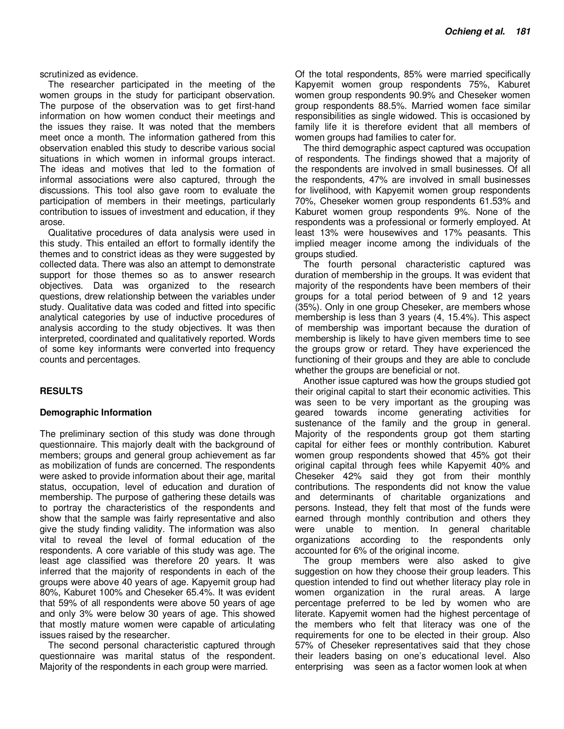scrutinized as evidence.

The researcher participated in the meeting of the women groups in the study for participant observation. The purpose of the observation was to get first-hand information on how women conduct their meetings and the issues they raise. It was noted that the members meet once a month. The information gathered from this observation enabled this study to describe various social situations in which women in informal groups interact. The ideas and motives that led to the formation of informal associations were also captured, through the discussions. This tool also gave room to evaluate the participation of members in their meetings, particularly contribution to issues of investment and education, if they arose.

Qualitative procedures of data analysis were used in this study. This entailed an effort to formally identify the themes and to constrict ideas as they were suggested by collected data. There was also an attempt to demonstrate support for those themes so as to answer research objectives. Data was organized to the research questions, drew relationship between the variables under study. Qualitative data was coded and fitted into specific analytical categories by use of inductive procedures of analysis according to the study objectives. It was then interpreted, coordinated and qualitatively reported. Words of some key informants were converted into frequency counts and percentages.

## **RESULTS**

#### **Demographic Information**

The preliminary section of this study was done through questionnaire. This majorly dealt with the background of members; groups and general group achievement as far as mobilization of funds are concerned. The respondents were asked to provide information about their age, marital status, occupation, level of education and duration of membership. The purpose of gathering these details was to portray the characteristics of the respondents and show that the sample was fairly representative and also give the study finding validity. The information was also vital to reveal the level of formal education of the respondents. A core variable of this study was age. The least age classified was therefore 20 years. It was inferred that the majority of respondents in each of the groups were above 40 years of age. Kapyemit group had 80%, Kaburet 100% and Cheseker 65.4%. It was evident that 59% of all respondents were above 50 years of age and only 3% were below 30 years of age. This showed that mostly mature women were capable of articulating issues raised by the researcher.

The second personal characteristic captured through questionnaire was marital status of the respondent. Majority of the respondents in each group were married.

Of the total respondents, 85% were married specifically Kapyemit women group respondents 75%, Kaburet women group respondents 90.9% and Cheseker women group respondents 88.5%. Married women face similar responsibilities as single widowed. This is occasioned by family life it is therefore evident that all members of women groups had families to cater for.

The third demographic aspect captured was occupation of respondents. The findings showed that a majority of the respondents are involved in small businesses. Of all the respondents, 47% are involved in small businesses for livelihood, with Kapyemit women group respondents 70%, Cheseker women group respondents 61.53% and Kaburet women group respondents 9%. None of the respondents was a professional or formerly employed. At least 13% were housewives and 17% peasants. This implied meager income among the individuals of the groups studied.

The fourth personal characteristic captured was duration of membership in the groups. It was evident that majority of the respondents have been members of their groups for a total period between of 9 and 12 years (35%). Only in one group Cheseker, are members whose membership is less than 3 years (4, 15.4%). This aspect of membership was important because the duration of membership is likely to have given members time to see the groups grow or retard. They have experienced the functioning of their groups and they are able to conclude whether the groups are beneficial or not.

Another issue captured was how the groups studied got their original capital to start their economic activities. This was seen to be very important as the grouping was geared towards income generating activities for sustenance of the family and the group in general. Majority of the respondents group got them starting capital for either fees or monthly contribution. Kaburet women group respondents showed that 45% got their original capital through fees while Kapyemit 40% and Cheseker 42% said they got from their monthly contributions. The respondents did not know the value and determinants of charitable organizations and persons. Instead, they felt that most of the funds were earned through monthly contribution and others they were unable to mention. In general charitable organizations according to the respondents only accounted for 6% of the original income.

The group members were also asked to give suggestion on how they choose their group leaders. This question intended to find out whether literacy play role in women organization in the rural areas. A large percentage preferred to be led by women who are literate. Kapyemit women had the highest percentage of the members who felt that literacy was one of the requirements for one to be elected in their group. Also 57% of Cheseker representatives said that they chose their leaders basing on one's educational level. Also enterprising was seen as a factor women look at when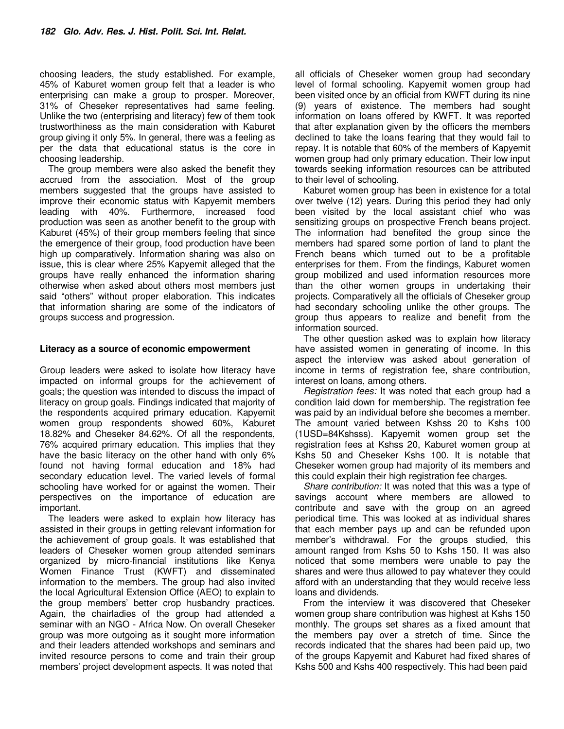choosing leaders, the study established. For example, 45% of Kaburet women group felt that a leader is who enterprising can make a group to prosper. Moreover, 31% of Cheseker representatives had same feeling. Unlike the two (enterprising and literacy) few of them took trustworthiness as the main consideration with Kaburet group giving it only 5%. In general, there was a feeling as per the data that educational status is the core in choosing leadership.

The group members were also asked the benefit they accrued from the association. Most of the group members suggested that the groups have assisted to improve their economic status with Kapyemit members leading with 40%. Furthermore, increased food production was seen as another benefit to the group with Kaburet (45%) of their group members feeling that since the emergence of their group, food production have been high up comparatively. Information sharing was also on issue, this is clear where 25% Kapyemit alleged that the groups have really enhanced the information sharing otherwise when asked about others most members just said "others" without proper elaboration. This indicates that information sharing are some of the indicators of groups success and progression.

## **Literacy as a source of economic empowerment**

Group leaders were asked to isolate how literacy have impacted on informal groups for the achievement of goals; the question was intended to discuss the impact of literacy on group goals. Findings indicated that majority of the respondents acquired primary education. Kapyemit women group respondents showed 60%, Kaburet 18.82% and Cheseker 84.62%. Of all the respondents, 76% acquired primary education. This implies that they have the basic literacy on the other hand with only 6% found not having formal education and 18% had secondary education level. The varied levels of formal schooling have worked for or against the women. Their perspectives on the importance of education are important.

The leaders were asked to explain how literacy has assisted in their groups in getting relevant information for the achievement of group goals. It was established that leaders of Cheseker women group attended seminars organized by micro-financial institutions like Kenya Women Finance Trust (KWFT) and disseminated information to the members. The group had also invited the local Agricultural Extension Office (AEO) to explain to the group members' better crop husbandry practices. Again, the chairladies of the group had attended a seminar with an NGO - Africa Now. On overall Cheseker group was more outgoing as it sought more information and their leaders attended workshops and seminars and invited resource persons to come and train their group members' project development aspects. It was noted that

all officials of Cheseker women group had secondary level of formal schooling. Kapyemit women group had been visited once by an official from KWFT during its nine (9) years of existence. The members had sought information on loans offered by KWFT. It was reported that after explanation given by the officers the members declined to take the loans fearing that they would fail to repay. It is notable that 60% of the members of Kapyemit women group had only primary education. Their low input towards seeking information resources can be attributed to their level of schooling.

Kaburet women group has been in existence for a total over twelve (12) years. During this period they had only been visited by the local assistant chief who was sensitizing groups on prospective French beans project. The information had benefited the group since the members had spared some portion of land to plant the French beans which turned out to be a profitable enterprises for them. From the findings, Kaburet women group mobilized and used information resources more than the other women groups in undertaking their projects. Comparatively all the officials of Cheseker group had secondary schooling unlike the other groups. The group thus appears to realize and benefit from the information sourced.

The other question asked was to explain how literacy have assisted women in generating of income. In this aspect the interview was asked about generation of income in terms of registration fee, share contribution, interest on loans, among others.

*Registration fees:* It was noted that each group had a condition laid down for membership. The registration fee was paid by an individual before she becomes a member. The amount varied between Kshss 20 to Kshs 100 (1USD=84Kshsss). Kapyemit women group set the registration fees at Kshss 20, Kaburet women group at Kshs 50 and Cheseker Kshs 100. It is notable that Cheseker women group had majority of its members and this could explain their high registration fee charges.

*Share contribution:* It was noted that this was a type of savings account where members are allowed to contribute and save with the group on an agreed periodical time. This was looked at as individual shares that each member pays up and can be refunded upon member's withdrawal. For the groups studied, this amount ranged from Kshs 50 to Kshs 150. It was also noticed that some members were unable to pay the shares and were thus allowed to pay whatever they could afford with an understanding that they would receive less loans and dividends.

From the interview it was discovered that Cheseker women group share contribution was highest at Kshs 150 monthly. The groups set shares as a fixed amount that the members pay over a stretch of time. Since the records indicated that the shares had been paid up, two of the groups Kapyemit and Kaburet had fixed shares of Kshs 500 and Kshs 400 respectively. This had been paid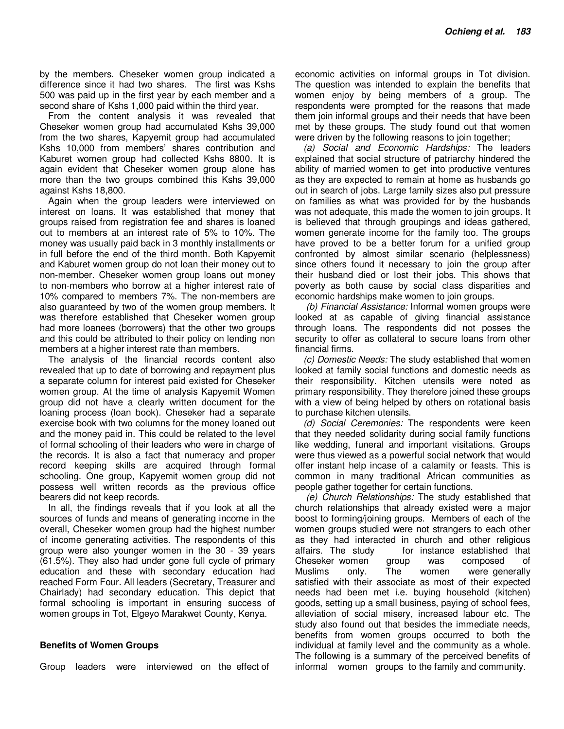by the members. Cheseker women group indicated a difference since it had two shares. The first was Kshs 500 was paid up in the first year by each member and a second share of Kshs 1,000 paid within the third year.

From the content analysis it was revealed that Cheseker women group had accumulated Kshs 39,000 from the two shares, Kapyemit group had accumulated Kshs 10,000 from members' shares contribution and Kaburet women group had collected Kshs 8800. It is again evident that Cheseker women group alone has more than the two groups combined this Kshs 39,000 against Kshs 18,800.

Again when the group leaders were interviewed on interest on loans. It was established that money that groups raised from registration fee and shares is loaned out to members at an interest rate of 5% to 10%. The money was usually paid back in 3 monthly installments or in full before the end of the third month. Both Kapyemit and Kaburet women group do not loan their money out to non-member. Cheseker women group loans out money to non-members who borrow at a higher interest rate of 10% compared to members 7%. The non-members are also guaranteed by two of the women group members. It was therefore established that Cheseker women group had more loanees (borrowers) that the other two groups and this could be attributed to their policy on lending non members at a higher interest rate than members.

The analysis of the financial records content also revealed that up to date of borrowing and repayment plus a separate column for interest paid existed for Cheseker women group. At the time of analysis Kapyemit Women group did not have a clearly written document for the loaning process (loan book). Cheseker had a separate exercise book with two columns for the money loaned out and the money paid in. This could be related to the level of formal schooling of their leaders who were in charge of the records. It is also a fact that numeracy and proper record keeping skills are acquired through formal schooling. One group, Kapyemit women group did not possess well written records as the previous office bearers did not keep records.

In all, the findings reveals that if you look at all the sources of funds and means of generating income in the overall, Cheseker women group had the highest number of income generating activities. The respondents of this group were also younger women in the 30 - 39 years (61.5%). They also had under gone full cycle of primary education and these with secondary education had reached Form Four. All leaders (Secretary, Treasurer and Chairlady) had secondary education. This depict that formal schooling is important in ensuring success of women groups in Tot, Elgeyo Marakwet County, Kenya.

## **Benefits of Women Groups**

Group leaders were interviewed on the effect of

economic activities on informal groups in Tot division. The question was intended to explain the benefits that women enjoy by being members of a group. The respondents were prompted for the reasons that made them join informal groups and their needs that have been met by these groups. The study found out that women were driven by the following reasons to join together;

*(a) Social and Economic Hardships:* The leaders explained that social structure of patriarchy hindered the ability of married women to get into productive ventures as they are expected to remain at home as husbands go out in search of jobs. Large family sizes also put pressure on families as what was provided for by the husbands was not adequate, this made the women to join groups. It is believed that through groupings and ideas gathered, women generate income for the family too. The groups have proved to be a better forum for a unified group confronted by almost similar scenario (helplessness) since others found it necessary to join the group after their husband died or lost their jobs. This shows that poverty as both cause by social class disparities and economic hardships make women to join groups.

 *(b) Financial Assistance:* Informal women groups were looked at as capable of giving financial assistance through loans. The respondents did not posses the security to offer as collateral to secure loans from other financial firms.

*(c) Domestic Needs:* The study established that women looked at family social functions and domestic needs as their responsibility. Kitchen utensils were noted as primary responsibility. They therefore joined these groups with a view of being helped by others on rotational basis to purchase kitchen utensils.

*(d) Social Ceremonies:* The respondents were keen that they needed solidarity during social family functions like wedding, funeral and important visitations. Groups were thus viewed as a powerful social network that would offer instant help incase of a calamity or feasts. This is common in many traditional African communities as people gather together for certain functions.

 *(e) Church Relationships:* The study established that church relationships that already existed were a major boost to forming/joining groups. Members of each of the women groups studied were not strangers to each other as they had interacted in church and other religious affairs. The study for instance established that Cheseker women group was composed of Muslims only. The women were generally satisfied with their associate as most of their expected needs had been met i.e. buying household (kitchen) goods, setting up a small business, paying of school fees, alleviation of social misery, increased labour etc. The study also found out that besides the immediate needs, benefits from women groups occurred to both the individual at family level and the community as a whole. The following is a summary of the perceived benefits of informal women groups to the family and community.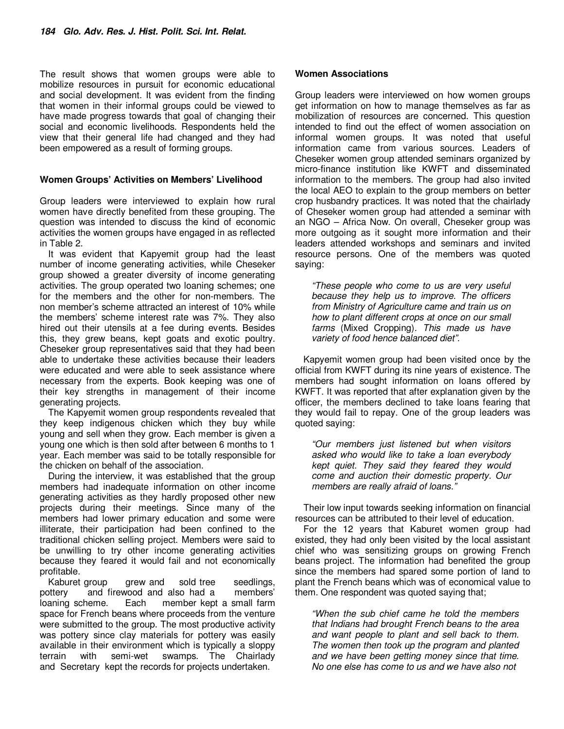The result shows that women groups were able to mobilize resources in pursuit for economic educational and social development. It was evident from the finding that women in their informal groups could be viewed to have made progress towards that goal of changing their social and economic livelihoods. Respondents held the view that their general life had changed and they had been empowered as a result of forming groups.

#### **Women Groups' Activities on Members' Livelihood**

Group leaders were interviewed to explain how rural women have directly benefited from these grouping. The question was intended to discuss the kind of economic activities the women groups have engaged in as reflected in Table 2.

It was evident that Kapyemit group had the least number of income generating activities, while Cheseker group showed a greater diversity of income generating activities. The group operated two loaning schemes; one for the members and the other for non-members. The non member's scheme attracted an interest of 10% while the members' scheme interest rate was 7%. They also hired out their utensils at a fee during events. Besides this, they grew beans, kept goats and exotic poultry. Cheseker group representatives said that they had been able to undertake these activities because their leaders were educated and were able to seek assistance where necessary from the experts. Book keeping was one of their key strengths in management of their income generating projects.

The Kapyemit women group respondents revealed that they keep indigenous chicken which they buy while young and sell when they grow. Each member is given a young one which is then sold after between 6 months to 1 year. Each member was said to be totally responsible for the chicken on behalf of the association.

During the interview, it was established that the group members had inadequate information on other income generating activities as they hardly proposed other new projects during their meetings. Since many of the members had lower primary education and some were illiterate, their participation had been confined to the traditional chicken selling project. Members were said to be unwilling to try other income generating activities because they feared it would fail and not economically profitable.

Kaburet group grew and sold tree seedlings, pottery and firewood and also had a members' loaning scheme. Each member kept a small farm space for French beans where proceeds from the venture were submitted to the group. The most productive activity was pottery since clay materials for pottery was easily available in their environment which is typically a sloppy terrain with semi-wet swamps. The Chairlady and Secretary kept the records for projects undertaken.

## **Women Associations**

Group leaders were interviewed on how women groups get information on how to manage themselves as far as mobilization of resources are concerned. This question intended to find out the effect of women association on informal women groups. It was noted that useful information came from various sources. Leaders of Cheseker women group attended seminars organized by micro-finance institution like KWFT and disseminated information to the members. The group had also invited the local AEO to explain to the group members on better crop husbandry practices. It was noted that the chairlady of Cheseker women group had attended a seminar with an NGO – Africa Now. On overall, Cheseker group was more outgoing as it sought more information and their leaders attended workshops and seminars and invited resource persons. One of the members was quoted saying:

*"These people who come to us are very useful because they help us to improve. The officers from Ministry of Agriculture came and train us on how to plant different crops at once on our small farms* (Mixed Cropping)*. This made us have variety of food hence balanced diet".* 

Kapyemit women group had been visited once by the official from KWFT during its nine years of existence. The members had sought information on loans offered by KWFT. It was reported that after explanation given by the officer, the members declined to take loans fearing that they would fail to repay. One of the group leaders was quoted saying:

*"Our members just listened but when visitors asked who would like to take a loan everybody kept quiet. They said they feared they would come and auction their domestic property. Our members are really afraid of loans."* 

Their low input towards seeking information on financial resources can be attributed to their level of education.

For the 12 years that Kaburet women group had existed, they had only been visited by the local assistant chief who was sensitizing groups on growing French beans project. The information had benefited the group since the members had spared some portion of land to plant the French beans which was of economical value to them. One respondent was quoted saying that;

*"When the sub chief came he told the members that Indians had brought French beans to the area and want people to plant and sell back to them. The women then took up the program and planted and we have been getting money since that time. No one else has come to us and we have also not*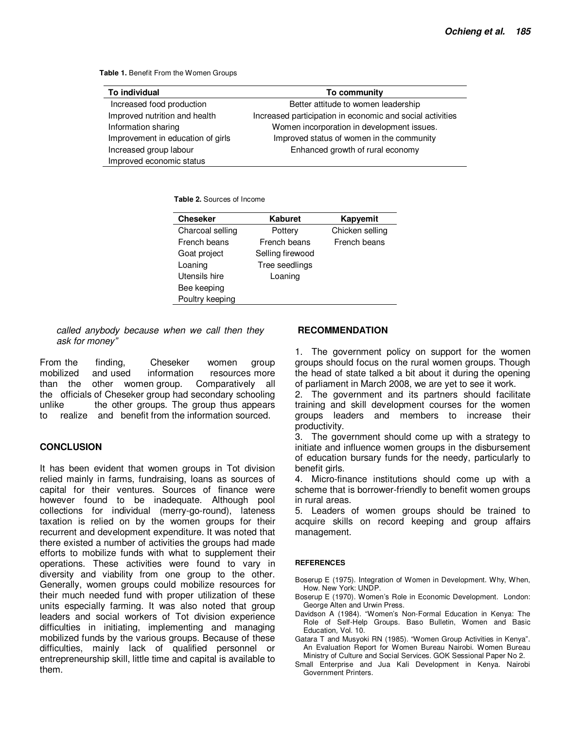**Table 1.** Benefit From the Women Groups

| To individual                     | To community                                              |  |
|-----------------------------------|-----------------------------------------------------------|--|
| Increased food production         | Better attitude to women leadership                       |  |
| Improved nutrition and health     | Increased participation in economic and social activities |  |
| Information sharing               | Women incorporation in development issues.                |  |
| Improvement in education of girls | Improved status of women in the community                 |  |
| Increased group labour            | Enhanced growth of rural economy                          |  |
| Improved economic status          |                                                           |  |

 **Table 2.** Sources of Income

| <b>Cheseker</b>  | <b>Kaburet</b>   | <b>Kapyemit</b> |
|------------------|------------------|-----------------|
| Charcoal selling | Pottery          | Chicken selling |
| French beans     | French beans     | French beans    |
| Goat project     | Selling firewood |                 |
| Loaning          | Tree seedlings   |                 |
| Utensils hire    | Loaning          |                 |
| Bee keeping      |                  |                 |
| Poultry keeping  |                  |                 |

*called anybody because when we call then they ask for money"*

From the finding, Cheseker women group mobilized and used information resources more than the other women group. Comparatively all the officials of Cheseker group had secondary schooling unlike the other groups. The group thus appears to realize and benefit from the information sourced.

#### **CONCLUSION**

It has been evident that women groups in Tot division relied mainly in farms, fundraising, loans as sources of capital for their ventures. Sources of finance were however found to be inadequate. Although pool collections for individual (merry-go-round), lateness taxation is relied on by the women groups for their recurrent and development expenditure. It was noted that there existed a number of activities the groups had made efforts to mobilize funds with what to supplement their operations. These activities were found to vary in diversity and viability from one group to the other. Generally, women groups could mobilize resources for their much needed fund with proper utilization of these units especially farming. It was also noted that group leaders and social workers of Tot division experience difficulties in initiating, implementing and managing mobilized funds by the various groups. Because of these difficulties, mainly lack of qualified personnel or entrepreneurship skill, little time and capital is available to them.

#### **RECOMMENDATION**

1. The government policy on support for the women groups should focus on the rural women groups. Though the head of state talked a bit about it during the opening of parliament in March 2008, we are yet to see it work.

2. The government and its partners should facilitate training and skill development courses for the women groups leaders and members to increase their productivity.

3. The government should come up with a strategy to initiate and influence women groups in the disbursement of education bursary funds for the needy, particularly to benefit girls.

4. Micro-finance institutions should come up with a scheme that is borrower-friendly to benefit women groups in rural areas.

5. Leaders of women groups should be trained to acquire skills on record keeping and group affairs management.

#### **REFERENCES**

- Boserup E (1975). Integration of Women in Development. Why, When, How. New York: UNDP.
- Boserup E (1970). Women's Role in Economic Development. London: George Alten and Urwin Press.
- Davidson A (1984). "Women's Non-Formal Education in Kenya: The Role of Self-Help Groups. Baso Bulletin, Women and Basic Education*,* Vol. 10.
- Gatara T and Musyoki RN (1985). "Women Group Activities in Kenya". An Evaluation Report for Women Bureau Nairobi. Women Bureau Ministry of Culture and Social Services. GOK Sessional Paper No 2.
- Small Enterprise and Jua Kali Development in Kenya. Nairobi Government Printers.